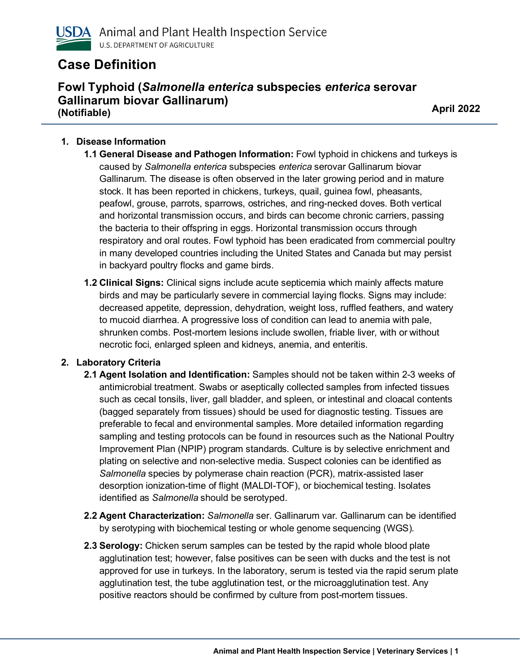

# **Case Definition**

## **Fowl Typhoid (***Salmonella enterica* **subspecies** *enterica* **serovar Gallinarum biovar Gallinarum) (Notifiable) April 2022**

### **1. Disease Information**

- **1.1 General Disease and Pathogen Information:** Fowl typhoid in chickens and turkeys is caused by *Salmonella enterica* subspecies *enterica* serovar Gallinarum biovar Gallinarum. The disease is often observed in the later growing period and in mature stock. It has been reported in chickens, turkeys, quail, guinea fowl, pheasants, peafowl, grouse, parrots, sparrows, ostriches, and ring-necked doves. Both vertical and horizontal transmission occurs, and birds can become chronic carriers, passing the bacteria to their offspring in eggs. Horizontal transmission occurs through respiratory and oral routes. Fowl typhoid has been eradicated from commercial poultry in many developed countries including the United States and Canada but may persist in backyard poultry flocks and game birds.
- **1.2 Clinical Signs:** Clinical signs include acute septicemia which mainly affects mature birds and may be particularly severe in commercial laying flocks. Signs may include: decreased appetite, depression, dehydration, weight loss, ruffled feathers, and watery to mucoid diarrhea. A progressive loss of condition can lead to anemia with pale, shrunken combs. Post-mortem lesions include swollen, friable liver, with or without necrotic foci, enlarged spleen and kidneys, anemia, and enteritis.

#### **2. Laboratory Criteria**

- **2.1 Agent Isolation and Identification:** Samples should not be taken within 2-3 weeks of antimicrobial treatment. Swabs or aseptically collected samples from infected tissues such as cecal tonsils, liver, gall bladder, and spleen, or intestinal and cloacal contents (bagged separately from tissues) should be used for diagnostic testing. Tissues are preferable to fecal and environmental samples. More detailed information regarding sampling and testing protocols can be found in resources such as the National Poultry Improvement Plan (NPIP) program standards. Culture is by selective enrichment and plating on selective and non-selective media. Suspect colonies can be identified as *Salmonella* species by polymerase chain reaction (PCR), matrix-assisted laser desorption ionization-time of flight (MALDI-TOF), or biochemical testing. Isolates identified as *Salmonella* should be serotyped.
- **2.2 Agent Characterization:** *Salmonella* ser. Gallinarum var. Gallinarum can be identified by serotyping with biochemical testing or whole genome sequencing (WGS).
- **2.3 Serology:** Chicken serum samples can be tested by the rapid whole blood plate agglutination test; however, false positives can be seen with ducks and the test is not approved for use in turkeys. In the laboratory, serum is tested via the rapid serum plate agglutination test, the tube agglutination test, or the microagglutination test. Any positive reactors should be confirmed by culture from post-mortem tissues.